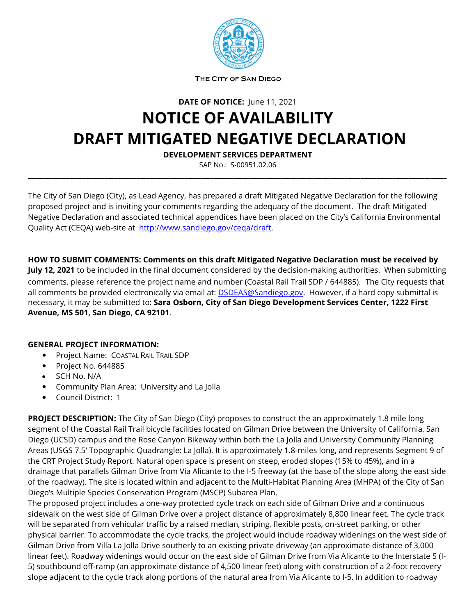

THE CITY OF SAN DIEGO

**DATE OF NOTICE:** June 11, 2021

## **NOTICE OF AVAILABILITY DRAFT MITIGATED NEGATIVE DECLARATION**

**DEVELOPMENT SERVICES DEPARTMENT**

SAP No.: S-00951.02.06 **\_\_\_\_\_\_\_\_\_\_\_\_\_\_\_\_\_\_\_\_\_\_\_\_\_\_\_\_\_\_\_\_\_\_\_\_\_\_\_\_\_\_\_\_\_\_\_\_\_\_\_\_\_\_\_\_\_\_\_\_\_\_\_\_\_\_\_\_\_\_\_\_\_\_\_\_\_\_\_\_\_\_\_\_\_\_\_\_\_\_\_\_\_\_\_\_\_\_\_\_\_\_\_\_\_\_\_\_\_\_\_\_\_\_\_\_\_\_\_\_\_\_\_\_\_\_\_\_\_\_\_**

The City of San Diego (City), as Lead Agency, has prepared a draft Mitigated Negative Declaration for the following proposed project and is inviting your comments regarding the adequacy of the document. The draft Mitigated Negative Declaration and associated technical appendices have been placed on the City's California Environmental Quality Act (CEQA) web-site at [http://www.sandiego.gov/ceqa/draft.](http://www.sandiego.gov/ceqa/draft)

**HOW TO SUBMIT COMMENTS: Comments on this draft Mitigated Negative Declaration must be received by July 12, 2021** to be included in the final document considered by the decision-making authorities. When submitting comments, please reference the project name and number (Coastal Rail Trail SDP / 644885). The City requests that all comments be provided electronically via email at: [DSDEAS@Sandiego.gov.](mailto:DSDEAS@Sandiego.gov) However, if a hard copy submittal is necessary, it may be submitted to: **Sara Osborn, City of San Diego Development Services Center, 1222 First Avenue, MS 501, San Diego, CA 92101**.

## **GENERAL PROJECT INFORMATION:**

- Project Name: COASTAL RAIL TRAIL SDP
- Project No. 644885
- SCH No. N/A
- Community Plan Area: University and La Jolla
- Council District: 1

**PROJECT DESCRIPTION:** The City of San Diego (City) proposes to construct the an approximately 1.8 mile long segment of the Coastal Rail Trail bicycle facilities located on Gilman Drive between the University of California, San Diego (UCSD) campus and the Rose Canyon Bikeway within both the La Jolla and University Community Planning Areas (USGS 7.5' Topographic Quadrangle: La Jolla). It is approximately 1.8-miles long, and represents Segment 9 of the CRT Project Study Report. Natural open space is present on steep, eroded slopes (15% to 45%), and in a drainage that parallels Gilman Drive from Via Alicante to the I-5 freeway (at the base of the slope along the east side of the roadway). The site is located within and adjacent to the Multi-Habitat Planning Area (MHPA) of the City of San Diego's Multiple Species Conservation Program (MSCP) Subarea Plan.

The proposed project includes a one-way protected cycle track on each side of Gilman Drive and a continuous sidewalk on the west side of Gilman Drive over a project distance of approximately 8,800 linear feet. The cycle track will be separated from vehicular traffic by a raised median, striping, flexible posts, on-street parking, or other physical barrier. To accommodate the cycle tracks, the project would include roadway widenings on the west side of Gilman Drive from Villa La Jolla Drive southerly to an existing private driveway (an approximate distance of 3,000 linear feet). Roadway widenings would occur on the east side of Gilman Drive from Via Alicante to the Interstate 5 (I-5) southbound off-ramp (an approximate distance of 4,500 linear feet) along with construction of a 2-foot recovery slope adjacent to the cycle track along portions of the natural area from Via Alicante to I-5. In addition to roadway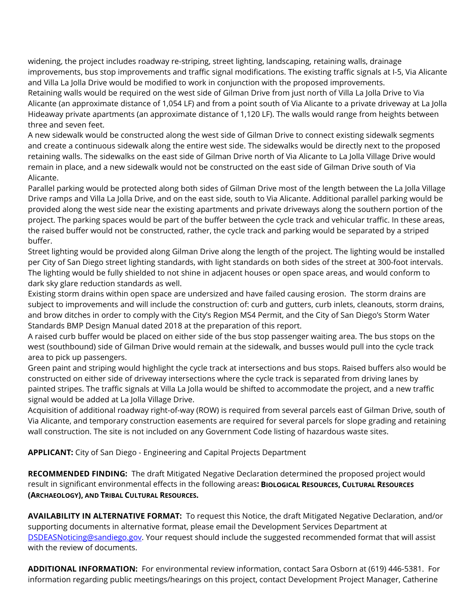widening, the project includes roadway re-striping, street lighting, landscaping, retaining walls, drainage improvements, bus stop improvements and traffic signal modifications. The existing traffic signals at I-5, Via Alicante and Villa La Jolla Drive would be modified to work in conjunction with the proposed improvements.

Retaining walls would be required on the west side of Gilman Drive from just north of Villa La Jolla Drive to Via Alicante (an approximate distance of 1,054 LF) and from a point south of Via Alicante to a private driveway at La Jolla Hideaway private apartments (an approximate distance of 1,120 LF). The walls would range from heights between three and seven feet.

A new sidewalk would be constructed along the west side of Gilman Drive to connect existing sidewalk segments and create a continuous sidewalk along the entire west side. The sidewalks would be directly next to the proposed retaining walls. The sidewalks on the east side of Gilman Drive north of Via Alicante to La Jolla Village Drive would remain in place, and a new sidewalk would not be constructed on the east side of Gilman Drive south of Via Alicante.

Parallel parking would be protected along both sides of Gilman Drive most of the length between the La Jolla Village Drive ramps and Villa La Jolla Drive, and on the east side, south to Via Alicante. Additional parallel parking would be provided along the west side near the existing apartments and private driveways along the southern portion of the project. The parking spaces would be part of the buffer between the cycle track and vehicular traffic. In these areas, the raised buffer would not be constructed, rather, the cycle track and parking would be separated by a striped buffer.

Street lighting would be provided along Gilman Drive along the length of the project. The lighting would be installed per City of San Diego street lighting standards, with light standards on both sides of the street at 300-foot intervals. The lighting would be fully shielded to not shine in adjacent houses or open space areas, and would conform to dark sky glare reduction standards as well.

Existing storm drains within open space are undersized and have failed causing erosion. The storm drains are subject to improvements and will include the construction of: curb and gutters, curb inlets, cleanouts, storm drains, and brow ditches in order to comply with the City's Region MS4 Permit, and the City of San Diego's Storm Water Standards BMP Design Manual dated 2018 at the preparation of this report.

A raised curb buffer would be placed on either side of the bus stop passenger waiting area. The bus stops on the west (southbound) side of Gilman Drive would remain at the sidewalk, and busses would pull into the cycle track area to pick up passengers.

Green paint and striping would highlight the cycle track at intersections and bus stops. Raised buffers also would be constructed on either side of driveway intersections where the cycle track is separated from driving lanes by painted stripes. The traffic signals at Villa La Jolla would be shifted to accommodate the project, and a new traffic signal would be added at La Jolla Village Drive.

Acquisition of additional roadway right-of-way (ROW) is required from several parcels east of Gilman Drive, south of Via Alicante, and temporary construction easements are required for several parcels for slope grading and retaining wall construction. The site is not included on any Government Code listing of hazardous waste sites.

**APPLICANT:** City of San Diego - Engineering and Capital Projects Department

**RECOMMENDED FINDING:** The draft Mitigated Negative Declaration determined the proposed project would result in significant environmental effects in the following areas**: BIOLOGICAL RESOURCES, CULTURAL RESOURCES (ARCHAEOLOGY), AND TRIBAL CULTURAL RESOURCES.**

**AVAILABILITY IN ALTERNATIVE FORMAT:** To request this Notice, the draft Mitigated Negative Declaration, and/or supporting documents in alternative format, please email the Development Services Department at [DSDEASNoticing@sandiego.gov.](mailto:DSDEASNoticing@sandiego.gov) Your request should include the suggested recommended format that will assist with the review of documents.

**ADDITIONAL INFORMATION:** For environmental review information, contact Sara Osborn at (619) 446-5381. For information regarding public meetings/hearings on this project, contact Development Project Manager, Catherine